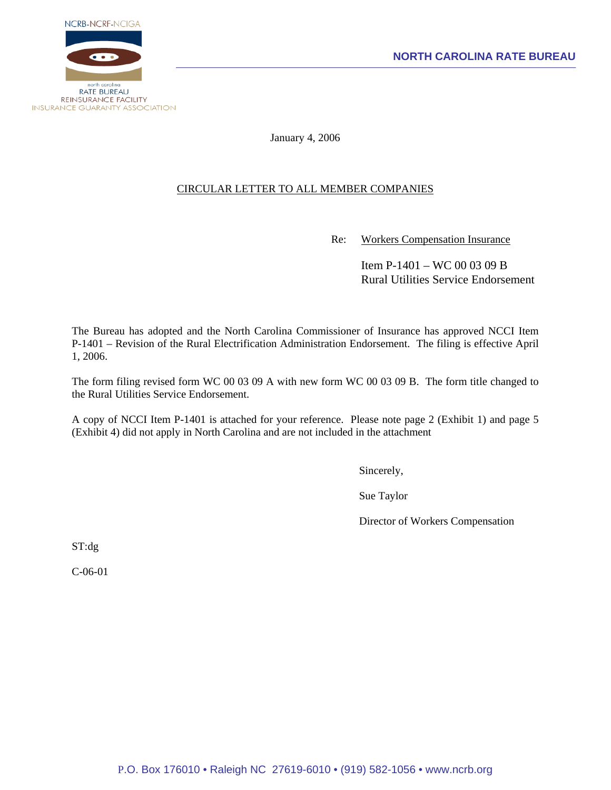

January 4, 2006

# CIRCULAR LETTER TO ALL MEMBER COMPANIES

Re: Workers Compensation Insurance

 Item P-1401 – WC 00 03 09 B Rural Utilities Service Endorsement

The Bureau has adopted and the North Carolina Commissioner of Insurance has approved NCCI Item P-1401 – Revision of the Rural Electrification Administration Endorsement. The filing is effective April 1, 2006.

The form filing revised form WC 00 03 09 A with new form WC 00 03 09 B. The form title changed to the Rural Utilities Service Endorsement.

A copy of NCCI Item P-1401 is attached for your reference. Please note page 2 (Exhibit 1) and page 5 (Exhibit 4) did not apply in North Carolina and are not included in the attachment

Sincerely,

Sue Taylor

Director of Workers Compensation

ST:dg

C-06-01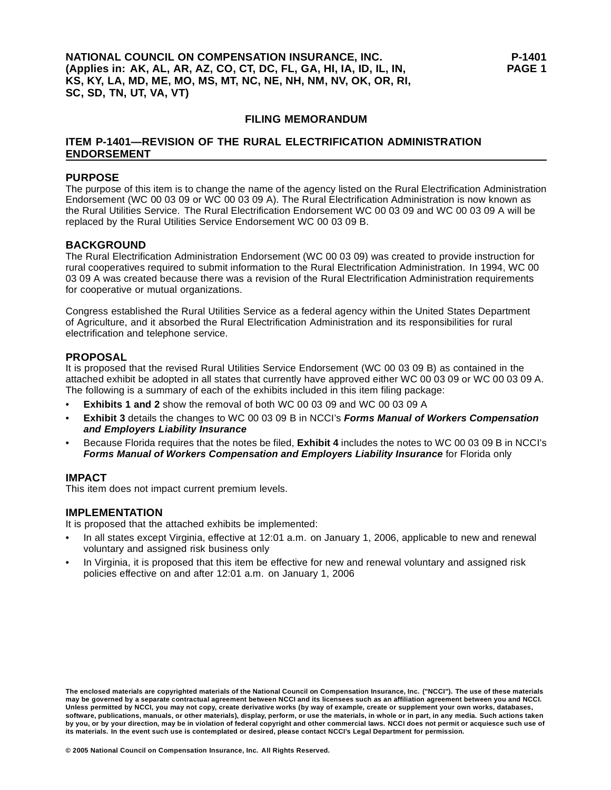## **FILING MEMORANDUM**

## **ITEM P-1401—REVISION OF THE RURAL ELECTRIFICATION ADMINISTRATION ENDORSEMENT**

## **PURPOSE**

The purpose of this item is to change the name of the agency listed on the Rural Electrification Administration Endorsement (WC 00 03 09 or WC 00 03 09 A). The Rural Electrification Administration is now known as the Rural Utilities Service. The Rural Electrification Endorsement WC 00 03 09 and WC 00 03 09 A will be replaced by the Rural Utilities Service Endorsement WC 00 03 09 B.

## **BACKGROUND**

The Rural Electrification Administration Endorsement (WC 00 03 09) was created to provide instruction for rural cooperatives required to submit information to the Rural Electrification Administration. In 1994, WC 00 03 09 A was created because there was a revision of the Rural Electrification Administration requirements for cooperative or mutual organizations.

Congress established the Rural Utilities Service as a federal agency within the United States Department of Agriculture, and it absorbed the Rural Electrification Administration and its responsibilities for rural electrification and telephone service.

# **PROPOSAL**

It is proposed that the revised Rural Utilities Service Endorsement (WC 00 03 09 B) as contained in the attached exhibit be adopted in all states that currently have approved either WC 00 03 09 or WC 00 03 09 A. The following is a summary of each of the exhibits included in this item filing package:

- **Exhibits 1 and 2** show the removal of both WC 00 03 09 and WC 00 03 09 A
- **Exhibit 3** details the changes to WC 00 03 09 B in NCCI's *Forms Manual of Workers Compensation and Employers Liability Insurance*
- Because Florida requires that the notes be filed, **Exhibit 4** includes the notes to WC 00 03 09 B in NCCI's *Forms Manual of Workers Compensation and Employers Liability Insurance* for Florida only

## **IMPACT**

This item does not impact current premium levels.

## **IMPLEMENTATION**

It is proposed that the attached exhibits be implemented:

- In all states except Virginia, effective at 12:01 a.m. on January 1, 2006, applicable to new and renewal voluntary and assigned risk business only
- In Virginia, it is proposed that this item be effective for new and renewal voluntary and assigned risk policies effective on and after 12:01 a.m. on January 1, 2006

**The enclosed materials are copyrighted materials of the National Council on Compensation Insurance, Inc. ("NCCI"). The use of these materials may be governed by a separate contractual agreement between NCCI and its licensees such as an affiliation agreement between you and NCCI. Unless permitted by NCCI, you may not copy, create derivative works (by way of example, create or supplement your own works, databases, software, publications, manuals, or other materials), display, perform, or use the materials, in whole or in part, in any media. Such actions taken by you, or by your direction, may be in violation of federal copyright and other commercial laws. NCCI does not permit or acquiesce such use of its materials. In the event such use is contemplated or desired, please contact NCCI's Legal Department for permission.**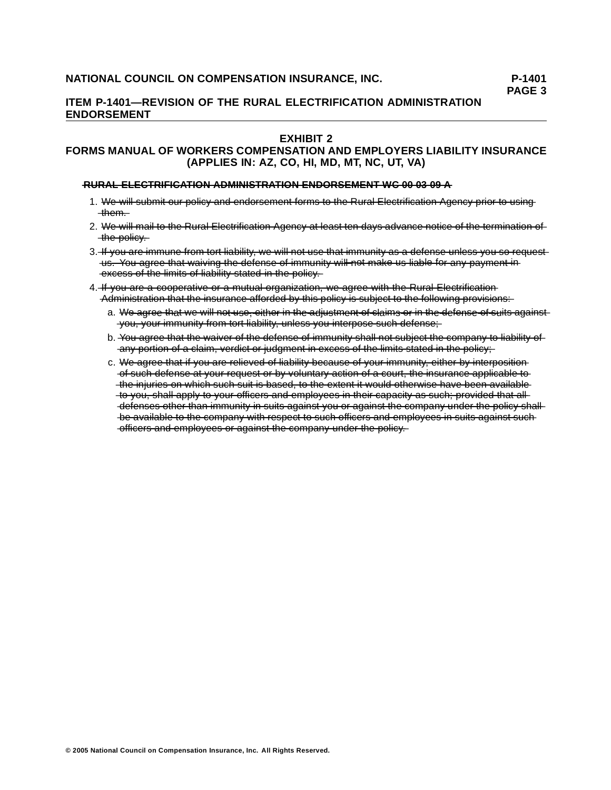# **ITEM P-1401—REVISION OF THE RURAL ELECTRIFICATION ADMINISTRATION ENDORSEMENT**

## **EXHIBIT 2**

# **FORMS MANUAL OF WORKERS COMPENSATION AND EMPLOYERS LIABILITY INSURANCE (APPLIES IN: AZ, CO, HI, MD, MT, NC, UT, VA)**

#### $\overline{R}$  URAL ELECTRIFICATION ADMINISTRATION ENDORSEMENT WG 00 03 09 A

- 1. We will submit our policy and endorsement forms to the Rural Electrification Agency prior to using  $-$ them. $-$
- 2. We will mail to the Rural Electrification Agency at least ten days advance notice of the termination of -the-policy.
- 3. If you are immune from tort liability, we will not use that immunity as a defense unless you so requestus. You agree that waiving the defense of immunity will not make us liable for any payment in  $-\text{excess of the limits of liability stated in the policy.}$
- 4. If you are a cooperative or a mutual organization, we agree with the Rural Electrification Administration that the insurance afforded by this policy is subject to the following provisions:
	- a. We agree that we will not use, either in the adjustment of claims or in the defense of suits againstyou, your immunity from tort liability, unless you interpose such defense;
	- b. You agree that the waiver of the defense of immunity shall not subject the company to liability of any portion of a claim, verdict or judgment in excess of the limits stated in the policy:
	- c. We agree that if you are relieved of liability because of your immunity, either by interposition of such defense at your request or by voluntary action of a court, the insurance applicable to the injuries on which such suit is based, to the extent it would otherwise have been available to you, shall apply to your officers and employees in their capacity as such; provided that all--defenses other than immunity in suits against you or against the company under the policy shallbe available to the company with respect to such officers and employees in suits against such  $-\text{eff}$  cears and employees or against the company under the policy.